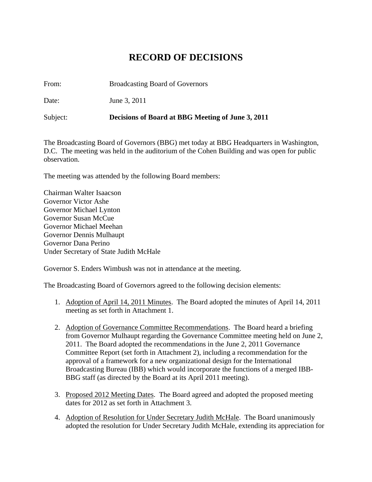## **RECORD OF DECISIONS**

From: Broadcasting Board of Governors

Date: June 3, 2011

Subject: **Decisions of Board at BBG Meeting of June 3, 2011** 

The Broadcasting Board of Governors (BBG) met today at BBG Headquarters in Washington, D.C. The meeting was held in the auditorium of the Cohen Building and was open for public observation.

The meeting was attended by the following Board members:

Chairman Walter Isaacson Governor Victor Ashe Governor Michael Lynton Governor Susan McCue Governor Michael Meehan Governor Dennis Mulhaupt Governor Dana Perino Under Secretary of State Judith McHale

Governor S. Enders Wimbush was not in attendance at the meeting.

The Broadcasting Board of Governors agreed to the following decision elements:

- 1. Adoption of April 14, 2011 Minutes. The Board adopted the minutes of April 14, 2011 meeting as set forth in Attachment 1.
- 2. Adoption of Governance Committee Recommendations. The Board heard a briefing from Governor Mulhaupt regarding the Governance Committee meeting held on June 2, 2011. The Board adopted the recommendations in the June 2, 2011 Governance Committee Report (set forth in Attachment 2), including a recommendation for the approval of a framework for a new organizational design for the International Broadcasting Bureau (IBB) which would incorporate the functions of a merged IBB-BBG staff (as directed by the Board at its April 2011 meeting).
- 3. Proposed 2012 Meeting Dates. The Board agreed and adopted the proposed meeting dates for 2012 as set forth in Attachment 3.
- 4. Adoption of Resolution for Under Secretary Judith McHale. The Board unanimously adopted the resolution for Under Secretary Judith McHale, extending its appreciation for